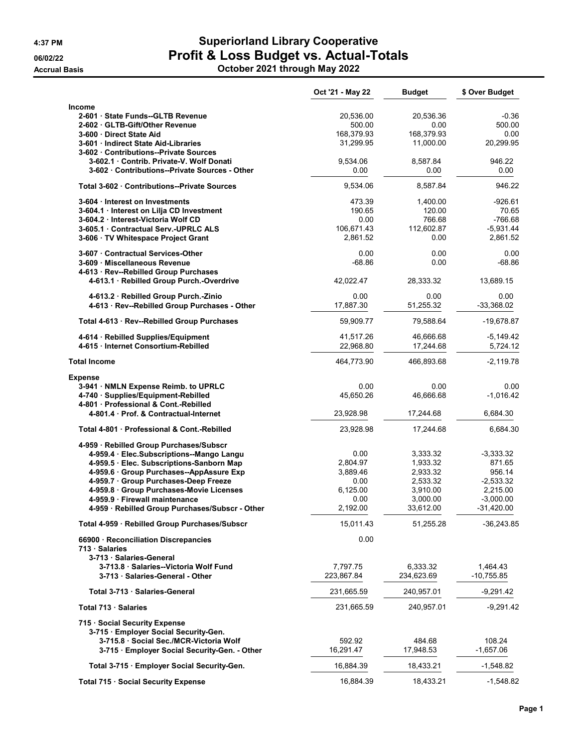Income

## 4:37 PM Superiorland Library Cooperative 06/02/22 Profit & Loss Budget vs. Actual-Totals Accrual Basis October 2021 through May 2022

|                                              | Oct '21 - May 22 | <b>Budget</b> | \$ Over Budget |
|----------------------------------------------|------------------|---------------|----------------|
| ome:                                         |                  |               |                |
| 2-601 · State Funds--GLTB Revenue            | 20.536.00        | 20,536.36     | $-0.36$        |
| 2-602 GLTB-Gift/Other Revenue                | 500.00           | 0.00          | 500.00         |
| 3-600 Direct State Aid                       | 168.379.93       | 168.379.93    | 0.00           |
| 3-601 Indirect State Aid-Libraries           | 31.299.95        | 11.000.00     | 20.299.95      |
| 3-602 Contributions--Private Sources         |                  |               |                |
| 3-602.1 Contrib. Private-V. Wolf Donati      | 9.534.06         | 8.587.84      | 946.22         |
| 3-602 Contributions--Private Sources - Other | 0.00             | 0.00          | 0.00           |
|                                              |                  |               |                |

 $3-602$   $\cdot$  Co 3-602.1 · Contrib. Private-V. Wolf Donati 9,534.06 8,587.84 946.22 3-602 · Contributions--Private Sources - Other 0.00 0.00 0.00 Total 3-602 · Contributions--Private Sources 6.587.84 8,587.84 8,587.84 8,587.84 946.22 **3-604 · Interest on Investments** 473.39 473.39 1,400.00 -926.61 3-604.1 · Interest on Lilja CD Investment 190.00 190.65 120.00 120.00 120.00 120.05 3-604.2 · Interest-Victoria Wolf CD 200 0.00 766.68 -766.68 -766.68 3-605.1 · Contractual Serv.-UPRLC ALS 106,671.43 112,602.87 -5,931.44 **3-606 · TV Whitespace Project Grant 2008** 2,861.52 **2,861.52** 0.00 2,861.52 3-607 · Contractual Services-Other 0.00 0.00 0.00 3-609 · Miscellaneous Revenue -68.86 -68.86 0.00 · 68.86 -68.86 -68.86 -68.86 -68.86 -68.86 -68.86 -68.86 -68 4-613 · Rev--Rebilled Group Purchases 4-613.1 · Rebilled Group Purch.-Overdrive 42.022.47 28,333.32 13,689.15 4-613.2 · Rebilled Group Purch.-Zinio 0.00 0.00 0.00 4-613 · Rev--Rebilled Group Purchases - Other Total 4-613 · Rev--Rebilled Group Purchases 69,909.77 79,588.64 -19,678.87 4-614 · Rebilled Supplies/Equipment 41,517.26 46,666.68 -5,149.42 4-615 · Internet Consortium-Rebilled 22,968.80 17,244.68 5,724.12 Total Income 464,773.90 466,893.68 -2,119.78 Expense 3-941 · NMLN Expense Reimb. to UPRLC 0.00 0.00 0.00 4-740 · Supplies/Equipment-Rebilled 45,650.26 46,666.68 -1,016.42 4-801 · Professional & Cont.-Rebilled 4-801.4 · Prof. & Contractual-Internet 23,928.98 17,244.68 6,684.30 Total 4-801 · Professional & Cont.-Rebilled 23,928.98 17,244.68 6,684.30 4-959 · Rebilled Group Purchases/Subscr 4-959.4 · Elec.Subscriptions--Mango Langu 0.00 0.00 3,333.32 -3,333.32 4-959.5 · Elec. Subscriptions-Sanborn Map 2,804.97 1,933.32 871.65 4-959.6 · Group Purchases--AppAssure Exp 3,889.46 2,933.32 956.14 4-959.7 · Group Purchases-Deep Freeze 4-959.8 · Group Purchases-Movie Licenses 6,125.00 3,910.00 2,215.00 4-959.9 · Firewall maintenance 0.00 3,000.00 -3,000.00 4-959 · Rebilled Group Purchases/Subscr - Other 2,192.00 33,612.00 -31,420.00 Total 4-959 · Rebilled Group Purchases/Subscr 15,011.43 51,255.28 -36,243.85 66900 · Reconciliation Discrepancies 0.00 713 · Salaries 3-713 · Salaries-General 3-713.8 · Salaries--Victoria Wolf Fund 7,797.75 6,333.32 1,464.43 3-713 · Salaries-General - Other 223,867.84 Total 3-713 · Salaries-General 231,665.59 240,957.01 -9,291.42 Total 713 · Salaries 231,665.59 240,957.01 -9,291.42 715 · Social Security Expense 3-715 · Employer Social Security-Gen. 3-715.8 · Social Sec./MCR-Victoria Wolf 592.92 484.68 108.24 3-715 · Employer Social Security-Gen. - Other 16,291.47 17,948.53 -1,657.06 Total 3-715 · Employer Social Security-Gen. 16,884.39 18,433.21 -1,548.82 Total 715 · Social Security Expense 16,884.39 16,884.39 18,433.21 -1,548.82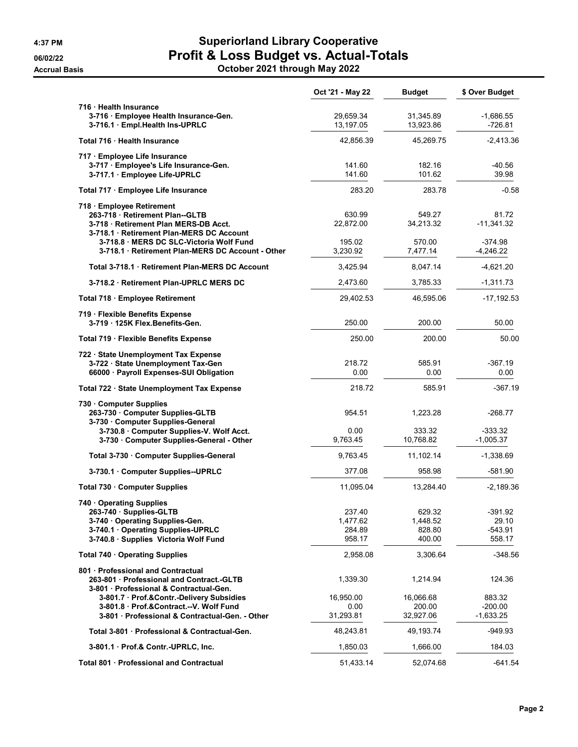## 4:37 PM Superiorland Library Cooperative 06/02/22 **Profit & Loss Budget vs. Actual-Totals** Accrual Basis October 2021 through May 2022

|                                                                                                                                                                                                                                                           | Oct '21 - May 22                           | <b>Budget</b>                                | \$ Over Budget                                    |
|-----------------------------------------------------------------------------------------------------------------------------------------------------------------------------------------------------------------------------------------------------------|--------------------------------------------|----------------------------------------------|---------------------------------------------------|
| 716 · Health Insurance<br>3-716 · Employee Health Insurance-Gen.<br>3-716.1 · Empl.Health Ins-UPRLC                                                                                                                                                       | 29,659.34<br>13,197.05                     | 31,345.89<br>13,923.86                       | $-1.686.55$<br>$-726.81$                          |
| Total 716 Health Insurance                                                                                                                                                                                                                                | 42,856.39                                  | 45,269.75                                    | $-2,413.36$                                       |
| 717 · Employee Life Insurance<br>3-717 · Employee's Life Insurance-Gen.<br>3-717.1 · Employee Life-UPRLC                                                                                                                                                  | 141.60<br>141.60                           | 182.16<br>101.62                             | $-40.56$<br>39.98                                 |
| Total 717 · Employee Life Insurance                                                                                                                                                                                                                       | 283.20                                     | 283.78                                       | $-0.58$                                           |
| 718 · Employee Retirement<br>263-718 · Retirement Plan--GLTB<br>3-718 Retirement Plan MERS-DB Acct.<br>3-718.1 Retirement Plan-MERS DC Account<br>3-718.8 MERS DC SLC-Victoria Wolf Fund<br>3-718.1 · Retirement Plan-MERS DC Account - Other             | 630.99<br>22,872.00<br>195.02<br>3,230.92  | 549.27<br>34,213.32<br>570.00<br>7,477.14    | 81.72<br>$-11,341.32$<br>$-374.98$<br>$-4,246.22$ |
| Total 3-718.1 Retirement Plan-MERS DC Account                                                                                                                                                                                                             | 3,425.94                                   | 8,047.14                                     | $-4,621.20$                                       |
| 3-718.2 Retirement Plan-UPRLC MERS DC                                                                                                                                                                                                                     | 2,473.60                                   | 3,785.33                                     | $-1,311.73$                                       |
| Total 718 · Employee Retirement                                                                                                                                                                                                                           | 29,402.53                                  | 46,595.06                                    | -17,192.53                                        |
| 719 · Flexible Benefits Expense<br>3-719 125K Flex Benefits-Gen.                                                                                                                                                                                          | 250.00                                     | 200.00                                       | 50.00                                             |
| Total 719 · Flexible Benefits Expense                                                                                                                                                                                                                     | 250.00                                     | 200.00                                       | 50.00                                             |
| 722 · State Unemployment Tax Expense<br>3-722 · State Unemployment Tax-Gen<br>66000 · Payroll Expenses-SUI Obligation                                                                                                                                     | 218.72<br>0.00                             | 585.91<br>0.00                               | $-367.19$<br>0.00                                 |
| Total 722 · State Unemployment Tax Expense                                                                                                                                                                                                                | 218.72                                     | 585.91                                       | $-367.19$                                         |
| 730 Computer Supplies<br>263-730 · Computer Supplies-GLTB<br>3-730 Computer Supplies-General<br>3-730.8 Computer Supplies-V. Wolf Acct.<br>3-730 Computer Supplies-General - Other                                                                        | 954.51<br>0.00<br>9,763.45                 | 1,223.28<br>333.32<br>10,768.82              | $-268.77$<br>$-333.32$<br>$-1,005.37$             |
| Total 3-730 · Computer Supplies-General                                                                                                                                                                                                                   | 9,763.45                                   | 11,102.14                                    | -1,338.69                                         |
| 3-730.1 Computer Supplies--UPRLC                                                                                                                                                                                                                          | 377.08                                     | 958.98                                       | $-581.90$                                         |
| Total 730 · Computer Supplies                                                                                                                                                                                                                             | 11,095.04                                  | 13,284.40                                    | $-2,189.36$                                       |
| 740 Operating Supplies<br>263-740 · Supplies-GLTB<br>3-740 Operating Supplies-Gen.<br>3-740.1 Operating Supplies-UPRLC<br>3-740.8 · Supplies Victoria Wolf Fund                                                                                           | 237.40<br>1,477.62<br>284.89<br>958.17     | 629.32<br>1,448.52<br>828.80<br>400.00       | $-391.92$<br>29.10<br>$-543.91$<br>558.17         |
| Total 740 Operating Supplies                                                                                                                                                                                                                              | 2,958.08                                   | 3,306.64                                     | $-348.56$                                         |
| 801 Professional and Contractual<br>263-801 Professional and Contract.-GLTB<br>3-801 Professional & Contractual-Gen.<br>3-801.7 Prof.&Contr.-Delivery Subsidies<br>3-801.8 Prof.&Contract.--V. Wolf Fund<br>3-801 Professional & Contractual-Gen. - Other | 1,339.30<br>16,950.00<br>0.00<br>31,293.81 | 1,214.94<br>16,066.68<br>200.00<br>32,927.06 | 124.36<br>883.32<br>$-200.00$<br>$-1,633.25$      |
| Total 3-801 · Professional & Contractual-Gen.                                                                                                                                                                                                             | 48,243.81                                  | 49,193.74                                    | $-949.93$                                         |
| 3-801.1 Prof.& Contr.-UPRLC, Inc.                                                                                                                                                                                                                         | 1,850.03                                   | 1,666.00                                     | 184.03                                            |
| Total 801 · Professional and Contractual                                                                                                                                                                                                                  | 51,433.14                                  | 52,074.68                                    | $-641.54$                                         |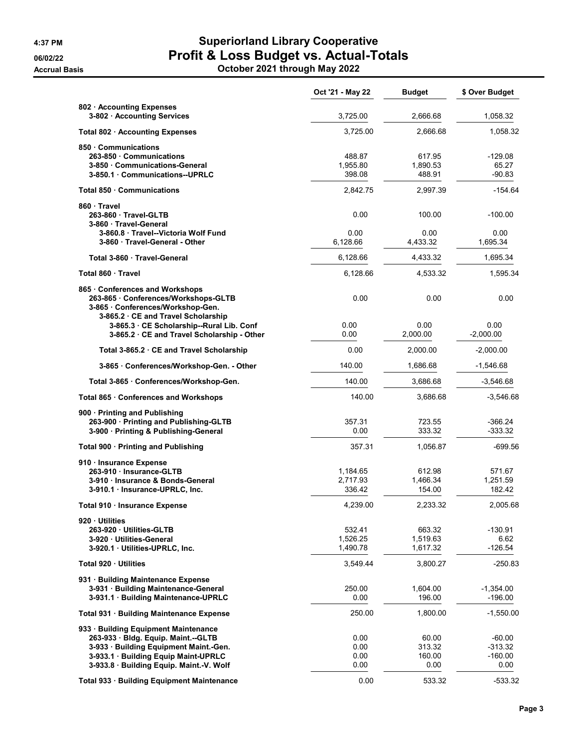## 4:37 PM Superiorland Library Cooperative 06/02/22 **Profit & Loss Budget vs. Actual-Totals** Accrual Basis October 2021 through May 2022

|                                                                                                                                                                                                                                         | Oct '21 - May 22               | <b>Budget</b>                     | \$ Over Budget                             |
|-----------------------------------------------------------------------------------------------------------------------------------------------------------------------------------------------------------------------------------------|--------------------------------|-----------------------------------|--------------------------------------------|
| 802 · Accounting Expenses<br>3-802 · Accounting Services                                                                                                                                                                                | 3,725.00                       | 2,666.68                          | 1,058.32                                   |
| Total 802 · Accounting Expenses                                                                                                                                                                                                         | 3,725.00                       | 2,666.68                          | 1,058.32                                   |
| 850 Communications<br>263-850 Communications<br>3-850 Communications-General<br>3-850.1 Communications--UPRLC                                                                                                                           | 488.87<br>1,955.80<br>398.08   | 617.95<br>1,890.53<br>488.91      | $-129.08$<br>65.27<br>$-90.83$             |
| Total 850 Communications                                                                                                                                                                                                                | 2.842.75                       | 2,997.39                          | $-154.64$                                  |
| 860 Travel<br>263-860 Travel-GLTB<br>3-860 Travel-General<br>3-860.8 Travel--Victoria Wolf Fund<br>3-860 Travel-General - Other                                                                                                         | 0.00<br>0.00<br>6,128.66       | 100.00<br>0.00<br>4,433.32        | $-100.00$<br>0.00<br>1,695.34              |
| Total 3-860 Travel-General                                                                                                                                                                                                              | 6,128.66                       | 4,433.32                          | 1,695.34                                   |
| Total 860 · Travel                                                                                                                                                                                                                      | 6,128.66                       | 4,533.32                          | 1,595.34                                   |
| 865 Conferences and Workshops<br>263-865 · Conferences/Workshops-GLTB<br>3-865 Conferences/Workshop-Gen.<br>3-865.2 CE and Travel Scholarship<br>3-865.3 CE Scholarship--Rural Lib. Conf<br>3-865.2 · CE and Travel Scholarship - Other | 0.00<br>0.00<br>0.00           | 0.00<br>0.00<br>2,000.00          | 0.00<br>0.00<br>$-2,000.00$                |
| Total 3-865.2 · CE and Travel Scholarship                                                                                                                                                                                               | 0.00                           | 2,000.00                          | $-2,000.00$                                |
| 3-865 Conferences/Workshop-Gen. - Other                                                                                                                                                                                                 | 140.00                         | 1,686.68                          | -1,546.68                                  |
| Total 3-865 · Conferences/Workshop-Gen.                                                                                                                                                                                                 | 140.00                         | 3,686.68                          | $-3,546.68$                                |
| Total 865 · Conferences and Workshops                                                                                                                                                                                                   | 140.00                         | 3,686.68                          | -3,546.68                                  |
| 900 · Printing and Publishing<br>263-900 · Printing and Publishing-GLTB<br>3-900 · Printing & Publishing-General                                                                                                                        | 357.31<br>0.00                 | 723.55<br>333.32                  | $-366.24$<br>$-333.32$                     |
| Total 900 · Printing and Publishing                                                                                                                                                                                                     | 357.31                         | 1,056.87                          | $-699.56$                                  |
| 910 Insurance Expense<br>263-910 Insurance-GLTB<br>3-910 Insurance & Bonds-General<br>3-910.1 Insurance-UPRLC, Inc.                                                                                                                     | 1,184.65<br>2,717.93<br>336.42 | 612.98<br>1,466.34<br>154.00      | 571.67<br>1,251.59<br>182.42               |
| Total 910 · Insurance Expense                                                                                                                                                                                                           | 4,239.00                       | 2,233.32                          | 2,005.68                                   |
| 920 · Utilities<br>263-920 Utilities-GLTB<br>3-920 Utilities-General<br>3-920.1 Utilities-UPRLC, Inc.                                                                                                                                   | 532.41<br>1,526.25<br>1,490.78 | 663.32<br>1,519.63<br>1,617.32    | $-130.91$<br>6.62<br>$-126.54$             |
| Total 920 · Utilities                                                                                                                                                                                                                   | 3,549.44                       | 3,800.27                          | -250.83                                    |
| 931 · Building Maintenance Expense<br>3-931 · Building Maintenance-General<br>3-931.1 · Building Maintenance-UPRLC                                                                                                                      | 250.00<br>0.00                 | 1,604.00<br>196.00                | -1,354.00<br>$-196.00$                     |
| Total 931 · Building Maintenance Expense                                                                                                                                                                                                | 250.00                         | 1,800.00                          | $-1,550.00$                                |
| 933 Building Equipment Maintenance<br>263-933 · Bldg. Equip. Maint.--GLTB<br>3-933 Building Equipment Maint.-Gen.<br>3-933.1 Building Equip Maint-UPRLC<br>3-933.8 · Building Equip. Maint.-V. Wolf                                     | 0.00<br>0.00<br>0.00<br>0.00   | 60.00<br>313.32<br>160.00<br>0.00 | $-60.00$<br>$-313.32$<br>$-160.00$<br>0.00 |
| Total 933 · Building Equipment Maintenance                                                                                                                                                                                              | 0.00                           | 533.32                            | $-533.32$                                  |